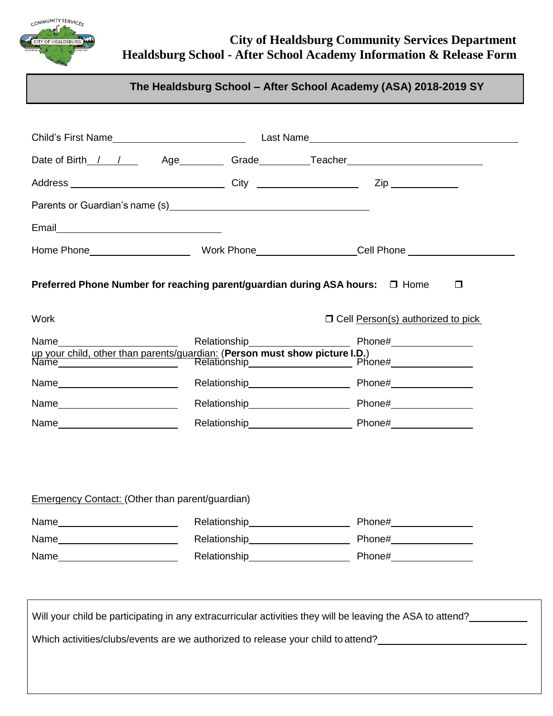

## **City of Healdsburg Community Services Department Healdsburg School - After School Academy Information & Release Form**

## **The Healdsburg School – After School Academy (ASA) 2018-2019 SY**

|                                                                                                                                                                                                                                |                                                                              | Date of Birth_/ / Age___________Grade__________Teacher__________________________ |
|--------------------------------------------------------------------------------------------------------------------------------------------------------------------------------------------------------------------------------|------------------------------------------------------------------------------|----------------------------------------------------------------------------------|
|                                                                                                                                                                                                                                |                                                                              |                                                                                  |
|                                                                                                                                                                                                                                |                                                                              |                                                                                  |
| Email <u>__________________________</u>                                                                                                                                                                                        |                                                                              |                                                                                  |
|                                                                                                                                                                                                                                |                                                                              |                                                                                  |
| <b>Work</b>                                                                                                                                                                                                                    | Preferred Phone Number for reaching parent/guardian during ASA hours: □ Home | $\Box$<br>□ Cell Person(s) authorized to pick                                    |
| Name and the contract of the contract of the contract of the contract of the contract of the contract of the contract of the contract of the contract of the contract of the contract of the contract of the contract of the c | Relationship___________                                                      |                                                                                  |
|                                                                                                                                                                                                                                |                                                                              |                                                                                  |
|                                                                                                                                                                                                                                |                                                                              |                                                                                  |
|                                                                                                                                                                                                                                |                                                                              |                                                                                  |
|                                                                                                                                                                                                                                |                                                                              |                                                                                  |
|                                                                                                                                                                                                                                |                                                                              |                                                                                  |
|                                                                                                                                                                                                                                |                                                                              |                                                                                  |
| Emergency Contact: (Other than parent/guardian)                                                                                                                                                                                |                                                                              |                                                                                  |
| Name                                                                                                                                                                                                                           | Relationship                                                                 | Phone#                                                                           |
| Name__________________________                                                                                                                                                                                                 | Relationship______________________                                           | Phone#_________________                                                          |

Will your child be participating in any extracurricular activities they will be leaving the ASA to attend?

Which activities/clubs/events are we authorized to release your child to attend?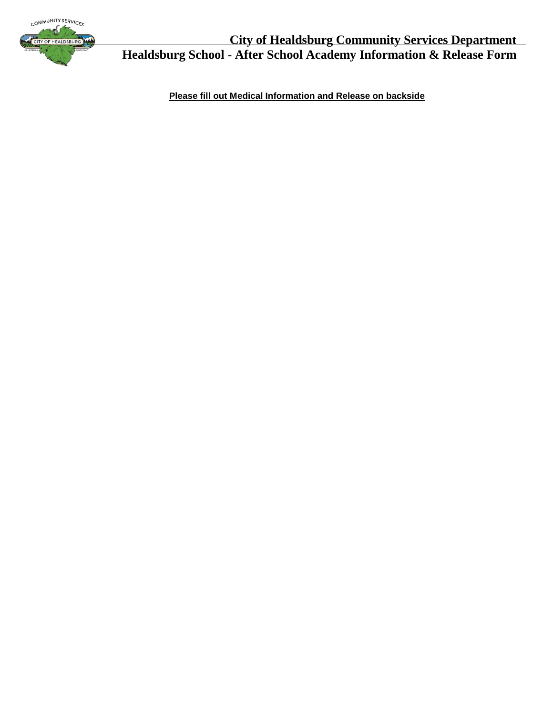

**City of Healdsburg Community Services Department Healdsburg School - After School Academy Information & Release Form**

**Please fill out Medical Information and Release on backside**